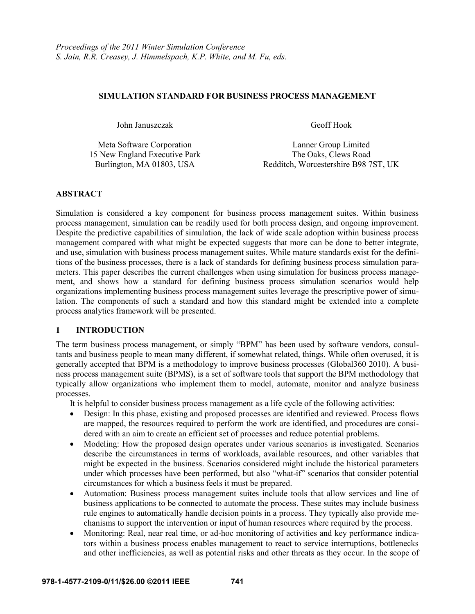### **SIMULATION STANDARD FOR BUSINESS PROCESS MANAGEMENT**

John Januszczak Geoff Hook

Meta Software Corporation Lanner Group Limited 15 New England Executive Park The Oaks, Clews Road

Burlington, MA 01803, USA Redditch, Worcestershire B98 7ST, UK

## **ABSTRACT**

Simulation is considered a key component for business process management suites. Within business process management, simulation can be readily used for both process design, and ongoing improvement. Despite the predictive capabilities of simulation, the lack of wide scale adoption within business process management compared with what might be expected suggests that more can be done to better integrate, and use, simulation with business process management suites. While mature standards exist for the definitions of the business processes, there is a lack of standards for defining business process simulation parameters. This paper describes the current challenges when using simulation for business process management, and shows how a standard for defining business process simulation scenarios would help organizations implementing business process management suites leverage the prescriptive power of simulation. The components of such a standard and how this standard might be extended into a complete process analytics framework will be presented.

## **1 INTRODUCTION**

The term business process management, or simply "BPM" has been used by software vendors, consultants and business people to mean many different, if somewhat related, things. While often overused, it is generally accepted that BPM is a methodology to improve business processes (Global360 2010). A business process management suite (BPMS), is a set of software tools that support the BPM methodology that typically allow organizations who implement them to model, automate, monitor and analyze business processes.

It is helpful to consider business process management as a life cycle of the following activities:

- Design: In this phase, existing and proposed processes are identified and reviewed. Process flows are mapped, the resources required to perform the work are identified, and procedures are considered with an aim to create an efficient set of processes and reduce potential problems.
- Modeling: How the proposed design operates under various scenarios is investigated. Scenarios describe the circumstances in terms of workloads, available resources, and other variables that might be expected in the business. Scenarios considered might include the historical parameters under which processes have been performed, but also "what-if" scenarios that consider potential circumstances for which a business feels it must be prepared.
- Automation: Business process management suites include tools that allow services and line of business applications to be connected to automate the process. These suites may include business rule engines to automatically handle decision points in a process. They typically also provide mechanisms to support the intervention or input of human resources where required by the process.
- Monitoring: Real, near real time, or ad-hoc monitoring of activities and key performance indicators within a business process enables management to react to service interruptions, bottlenecks and other inefficiencies, as well as potential risks and other threats as they occur. In the scope of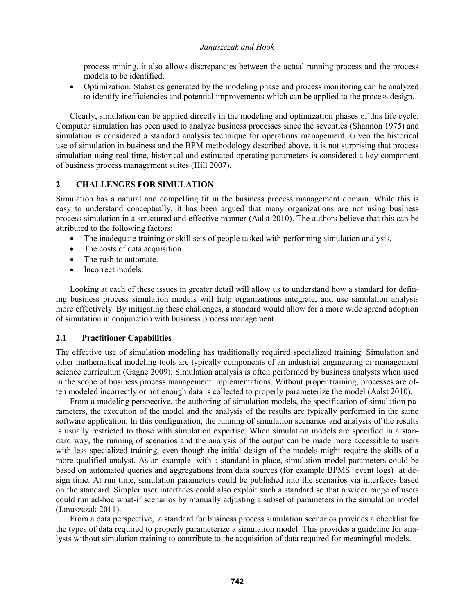process mining, it also allows discrepancies between the actual running process and the process models to be identified.

 Optimization: Statistics generated by the modeling phase and process monitoring can be analyzed to identify inefficiencies and potential improvements which can be applied to the process design.

Clearly, simulation can be applied directly in the modeling and optimization phases of this life cycle. Computer simulation has been used to analyze business processes since the seventies (Shannon 1975) and simulation is considered a standard analysis technique for operations management. Given the historical use of simulation in business and the BPM methodology described above, it is not surprising that process simulation using real-time, historical and estimated operating parameters is considered a key component of business process management suites (Hill 2007).

### **2 CHALLENGES FOR SIMULATION**

Simulation has a natural and compelling fit in the business process management domain. While this is easy to understand conceptually, it has been argued that many organizations are not using business process simulation in a structured and effective manner (Aalst 2010). The authors believe that this can be attributed to the following factors:

- The inadequate training or skill sets of people tasked with performing simulation analysis.
- The costs of data acquisition.
- The rush to automate.
- Incorrect models.

Looking at each of these issues in greater detail will allow us to understand how a standard for defining business process simulation models will help organizations integrate, and use simulation analysis more effectively. By mitigating these challenges, a standard would allow for a more wide spread adoption of simulation in conjunction with business process management.

## **2.1 Practitioner Capabilities**

The effective use of simulation modeling has traditionally required specialized training. Simulation and other mathematical modeling tools are typically components of an industrial engineering or management science curriculum (Gagne 2009). Simulation analysis is often performed by business analysts when used in the scope of business process management implementations. Without proper training, processes are often modeled incorrectly or not enough data is collected to properly parameterize the model (Aalst 2010).

From a modeling perspective, the authoring of simulation models, the specification of simulation parameters, the execution of the model and the analysis of the results are typically performed in the same software application. In this configuration, the running of simulation scenarios and analysis of the results is usually restricted to those with simulation expertise. When simulation models are specified in a standard way, the running of scenarios and the analysis of the output can be made more accessible to users with less specialized training, even though the initial design of the models might require the skills of a more qualified analyst. As an example: with a standard in place, simulation model parameters could be based on automated queries and aggregations from data sources (for example BPMS event logs) at design time. At run time, simulation parameters could be published into the scenarios via interfaces based on the standard. Simpler user interfaces could also exploit such a standard so that a wider range of users could run ad-hoc what-if scenarios by manually adjusting a subset of parameters in the simulation model (Januszczak 2011).

From a data perspective, a standard for business process simulation scenarios provides a checklist for the types of data required to properly parameterize a simulation model. This provides a guideline for analysts without simulation training to contribute to the acquisition of data required for meaningful models.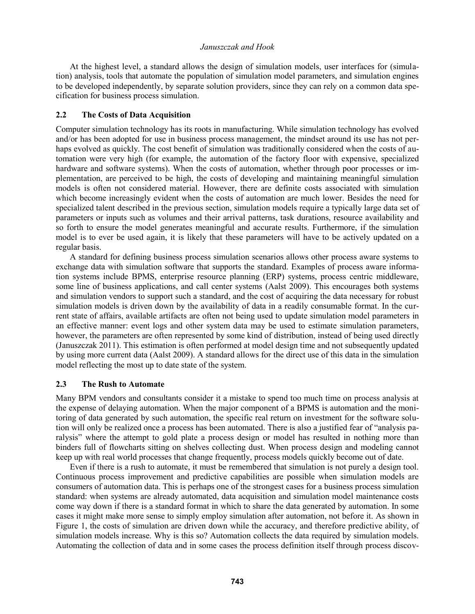At the highest level, a standard allows the design of simulation models, user interfaces for (simulation) analysis, tools that automate the population of simulation model parameters, and simulation engines to be developed independently, by separate solution providers, since they can rely on a common data specification for business process simulation.

## **2.2 The Costs of Data Acquisition**

Computer simulation technology has its roots in manufacturing. While simulation technology has evolved and/or has been adopted for use in business process management, the mindset around its use has not perhaps evolved as quickly. The cost benefit of simulation was traditionally considered when the costs of automation were very high (for example, the automation of the factory floor with expensive, specialized hardware and software systems). When the costs of automation, whether through poor processes or implementation, are perceived to be high, the costs of developing and maintaining meaningful simulation models is often not considered material. However, there are definite costs associated with simulation which become increasingly evident when the costs of automation are much lower. Besides the need for specialized talent described in the previous section, simulation models require a typically large data set of parameters or inputs such as volumes and their arrival patterns, task durations, resource availability and so forth to ensure the model generates meaningful and accurate results. Furthermore, if the simulation model is to ever be used again, it is likely that these parameters will have to be actively updated on a regular basis.

A standard for defining business process simulation scenarios allows other process aware systems to exchange data with simulation software that supports the standard. Examples of process aware information systems include BPMS, enterprise resource planning (ERP) systems, process centric middleware, some line of business applications, and call center systems (Aalst 2009). This encourages both systems and simulation vendors to support such a standard, and the cost of acquiring the data necessary for robust simulation models is driven down by the availability of data in a readily consumable format. In the current state of affairs, available artifacts are often not being used to update simulation model parameters in an effective manner: event logs and other system data may be used to estimate simulation parameters, however, the parameters are often represented by some kind of distribution, instead of being used directly (Januszczak 2011). This estimation is often performed at model design time and not subsequently updated by using more current data (Aalst 2009). A standard allows for the direct use of this data in the simulation model reflecting the most up to date state of the system.

## **2.3 The Rush to Automate**

Many BPM vendors and consultants consider it a mistake to spend too much time on process analysis at the expense of delaying automation. When the major component of a BPMS is automation and the monitoring of data generated by such automation, the specific real return on investment for the software solution will only be realized once a process has been automated. There is also a justified fear of "analysis paralysis" where the attempt to gold plate a process design or model has resulted in nothing more than binders full of flowcharts sitting on shelves collecting dust. When process design and modeling cannot keep up with real world processes that change frequently, process models quickly become out of date.

Even if there is a rush to automate, it must be remembered that simulation is not purely a design tool. Continuous process improvement and predictive capabilities are possible when simulation models are consumers of automation data. This is perhaps one of the strongest cases for a business process simulation standard: when systems are already automated, data acquisition and simulation model maintenance costs come way down if there is a standard format in which to share the data generated by automation. In some cases it might make more sense to simply employ simulation after automation, not before it. As shown in Figure 1, the costs of simulation are driven down while the accuracy, and therefore predictive ability, of simulation models increase. Why is this so? Automation collects the data required by simulation models. Automating the collection of data and in some cases the process definition itself through process discov-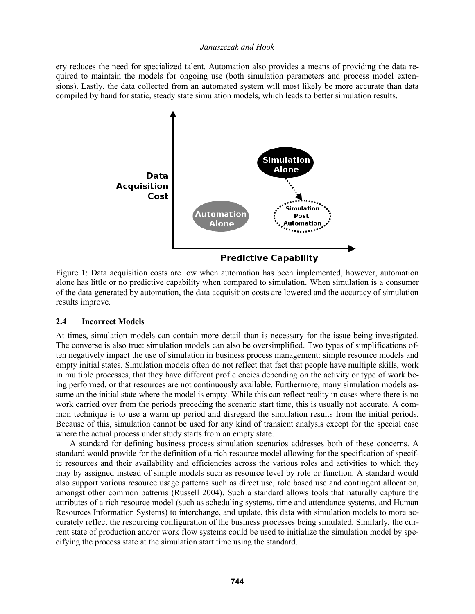ery reduces the need for specialized talent. Automation also provides a means of providing the data required to maintain the models for ongoing use (both simulation parameters and process model extensions). Lastly, the data collected from an automated system will most likely be more accurate than data compiled by hand for static, steady state simulation models, which leads to better simulation results.



Figure 1: Data acquisition costs are low when automation has been implemented, however, automation alone has little or no predictive capability when compared to simulation. When simulation is a consumer of the data generated by automation, the data acquisition costs are lowered and the accuracy of simulation results improve.

## **2.4 Incorrect Models**

At times, simulation models can contain more detail than is necessary for the issue being investigated. The converse is also true: simulation models can also be oversimplified. Two types of simplifications often negatively impact the use of simulation in business process management: simple resource models and empty initial states. Simulation models often do not reflect that fact that people have multiple skills, work in multiple processes, that they have different proficiencies depending on the activity or type of work being performed, or that resources are not continuously available. Furthermore, many simulation models assume an the initial state where the model is empty. While this can reflect reality in cases where there is no work carried over from the periods preceding the scenario start time, this is usually not accurate. A common technique is to use a warm up period and disregard the simulation results from the initial periods. Because of this, simulation cannot be used for any kind of transient analysis except for the special case where the actual process under study starts from an empty state.

A standard for defining business process simulation scenarios addresses both of these concerns. A standard would provide for the definition of a rich resource model allowing for the specification of specific resources and their availability and efficiencies across the various roles and activities to which they may by assigned instead of simple models such as resource level by role or function. A standard would also support various resource usage patterns such as direct use, role based use and contingent allocation, amongst other common patterns (Russell 2004). Such a standard allows tools that naturally capture the attributes of a rich resource model (such as scheduling systems, time and attendance systems, and Human Resources Information Systems) to interchange, and update, this data with simulation models to more accurately reflect the resourcing configuration of the business processes being simulated. Similarly, the current state of production and/or work flow systems could be used to initialize the simulation model by specifying the process state at the simulation start time using the standard.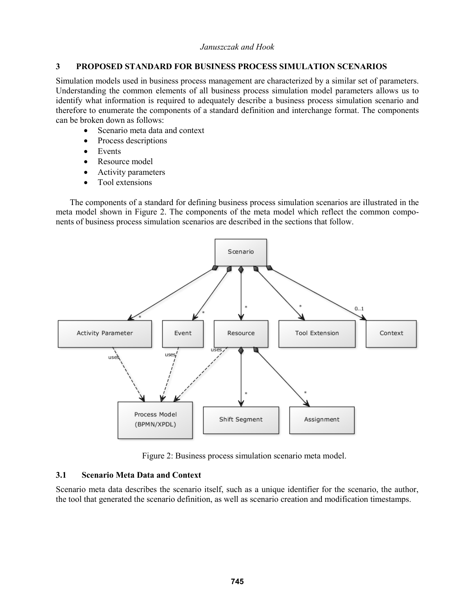## **3 PROPOSED STANDARD FOR BUSINESS PROCESS SIMULATION SCENARIOS**

Simulation models used in business process management are characterized by a similar set of parameters. Understanding the common elements of all business process simulation model parameters allows us to identify what information is required to adequately describe a business process simulation scenario and therefore to enumerate the components of a standard definition and interchange format. The components can be broken down as follows:

- Scenario meta data and context
- Process descriptions
- Events
- Resource model
- Activity parameters
- Tool extensions

The components of a standard for defining business process simulation scenarios are illustrated in the meta model shown in Figure 2. The components of the meta model which reflect the common components of business process simulation scenarios are described in the sections that follow.



Figure 2: Business process simulation scenario meta model.

## **3.1 Scenario Meta Data and Context**

Scenario meta data describes the scenario itself, such as a unique identifier for the scenario, the author, the tool that generated the scenario definition, as well as scenario creation and modification timestamps.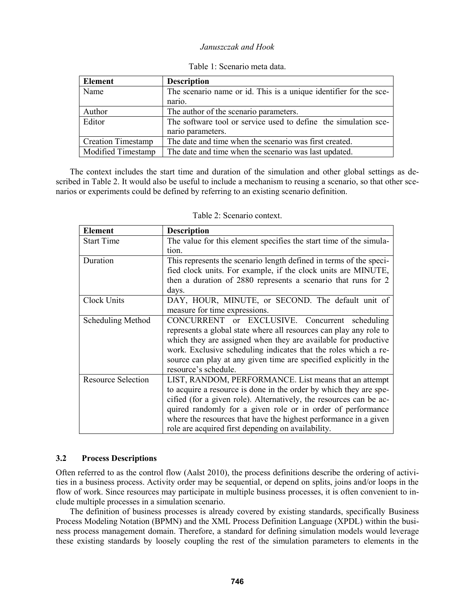| Element                   | <b>Description</b>                                                |
|---------------------------|-------------------------------------------------------------------|
| Name                      | The scenario name or id. This is a unique identifier for the sce- |
|                           | nario.                                                            |
| Author                    | The author of the scenario parameters.                            |
| Editor                    | The software tool or service used to define the simulation sce-   |
|                           | nario parameters.                                                 |
| <b>Creation Timestamp</b> | The date and time when the scenario was first created.            |
| Modified Timestamp        | The date and time when the scenario was last updated.             |

|  |  | Table 1: Scenario meta data. |  |  |
|--|--|------------------------------|--|--|
|--|--|------------------------------|--|--|

The context includes the start time and duration of the simulation and other global settings as described in Table 2. It would also be useful to include a mechanism to reusing a scenario, so that other scenarios or experiments could be defined by referring to an existing scenario definition.

| <b>Element</b>            | <b>Description</b>                                                                                                                                                                                                                                                                                                                                                                        |
|---------------------------|-------------------------------------------------------------------------------------------------------------------------------------------------------------------------------------------------------------------------------------------------------------------------------------------------------------------------------------------------------------------------------------------|
| <b>Start Time</b>         | The value for this element specifies the start time of the simula-                                                                                                                                                                                                                                                                                                                        |
|                           | tion.                                                                                                                                                                                                                                                                                                                                                                                     |
| Duration                  | This represents the scenario length defined in terms of the speci-<br>fied clock units. For example, if the clock units are MINUTE,<br>then a duration of 2880 represents a scenario that runs for 2                                                                                                                                                                                      |
|                           | days.                                                                                                                                                                                                                                                                                                                                                                                     |
| Clock Units               | DAY, HOUR, MINUTE, or SECOND. The default unit of<br>measure for time expressions.                                                                                                                                                                                                                                                                                                        |
| Scheduling Method         | CONCURRENT or EXCLUSIVE. Concurrent scheduling<br>represents a global state where all resources can play any role to<br>which they are assigned when they are available for productive<br>work. Exclusive scheduling indicates that the roles which a re-<br>source can play at any given time are specified explicitly in the<br>resource's schedule.                                    |
| <b>Resource Selection</b> | LIST, RANDOM, PERFORMANCE. List means that an attempt<br>to acquire a resource is done in the order by which they are spe-<br>cified (for a given role). Alternatively, the resources can be ac-<br>quired randomly for a given role or in order of performance<br>where the resources that have the highest performance in a given<br>role are acquired first depending on availability. |

Table 2: Scenario context.

## **3.2 Process Descriptions**

Often referred to as the control flow (Aalst 2010), the process definitions describe the ordering of activities in a business process. Activity order may be sequential, or depend on splits, joins and/or loops in the flow of work. Since resources may participate in multiple business processes, it is often convenient to include multiple processes in a simulation scenario.

The definition of business processes is already covered by existing standards, specifically Business Process Modeling Notation (BPMN) and the XML Process Definition Language (XPDL) within the business process management domain. Therefore, a standard for defining simulation models would leverage these existing standards by loosely coupling the rest of the simulation parameters to elements in the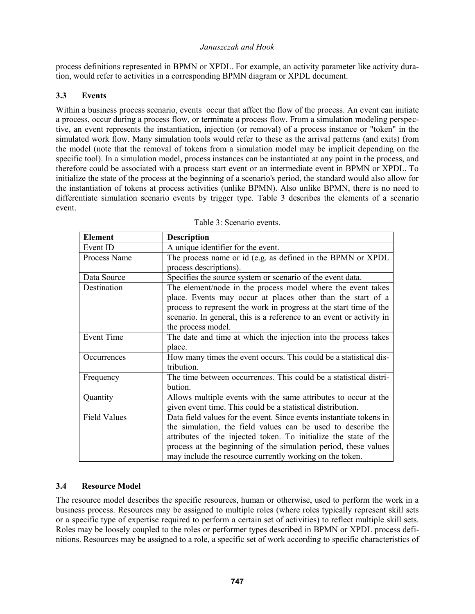process definitions represented in BPMN or XPDL. For example, an activity parameter like activity duration, would refer to activities in a corresponding BPMN diagram or XPDL document.

# **3.3 Events**

Within a business process scenario, events occur that affect the flow of the process. An event can initiate a process, occur during a process flow, or terminate a process flow. From a simulation modeling perspective, an event represents the instantiation, injection (or removal) of a process instance or "token" in the simulated work flow. Many simulation tools would refer to these as the arrival patterns (and exits) from the model (note that the removal of tokens from a simulation model may be implicit depending on the specific tool). In a simulation model, process instances can be instantiated at any point in the process, and therefore could be associated with a process start event or an intermediate event in BPMN or XPDL. To initialize the state of the process at the beginning of a scenario's period, the standard would also allow for the instantiation of tokens at process activities (unlike BPMN). Also unlike BPMN, there is no need to differentiate simulation scenario events by trigger type. Table 3 describes the elements of a scenario event.

| <b>Element</b>      | <b>Description</b>                                                   |
|---------------------|----------------------------------------------------------------------|
| Event ID            | A unique identifier for the event.                                   |
| Process Name        | The process name or id (e.g. as defined in the BPMN or XPDL          |
|                     | process descriptions).                                               |
| Data Source         | Specifies the source system or scenario of the event data.           |
| Destination         | The element/node in the process model where the event takes          |
|                     | place. Events may occur at places other than the start of a          |
|                     | process to represent the work in progress at the start time of the   |
|                     | scenario. In general, this is a reference to an event or activity in |
|                     | the process model.                                                   |
| Event Time          | The date and time at which the injection into the process takes      |
|                     | place.                                                               |
| Occurrences         | How many times the event occurs. This could be a statistical dis-    |
|                     | tribution.                                                           |
| Frequency           | The time between occurrences. This could be a statistical distri-    |
|                     | bution.                                                              |
| Quantity            | Allows multiple events with the same attributes to occur at the      |
|                     | given event time. This could be a statistical distribution.          |
| <b>Field Values</b> | Data field values for the event. Since events instantiate tokens in  |
|                     | the simulation, the field values can be used to describe the         |
|                     | attributes of the injected token. To initialize the state of the     |
|                     | process at the beginning of the simulation period, these values      |
|                     | may include the resource currently working on the token.             |

|  | Table 3: Scenario events. |  |
|--|---------------------------|--|
|  |                           |  |

# **3.4 Resource Model**

The resource model describes the specific resources, human or otherwise, used to perform the work in a business process. Resources may be assigned to multiple roles (where roles typically represent skill sets or a specific type of expertise required to perform a certain set of activities) to reflect multiple skill sets. Roles may be loosely coupled to the roles or performer types described in BPMN or XPDL process definitions. Resources may be assigned to a role, a specific set of work according to specific characteristics of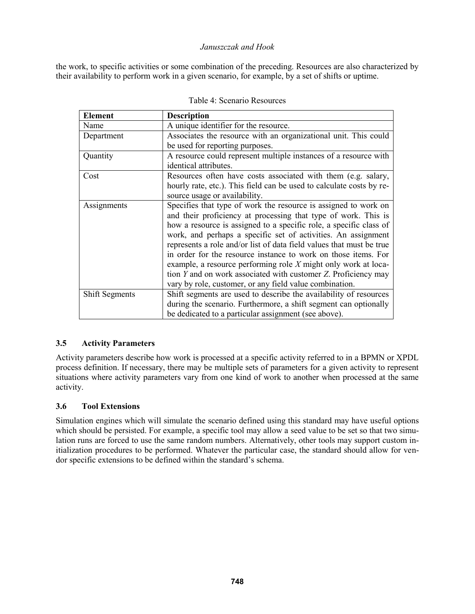the work, to specific activities or some combination of the preceding. Resources are also characterized by their availability to perform work in a given scenario, for example, by a set of shifts or uptime.

| <b>Element</b>        | <b>Description</b>                                                   |
|-----------------------|----------------------------------------------------------------------|
| Name                  | A unique identifier for the resource.                                |
| Department            | Associates the resource with an organizational unit. This could      |
|                       | be used for reporting purposes.                                      |
| Quantity              | A resource could represent multiple instances of a resource with     |
|                       | identical attributes.                                                |
| Cost                  | Resources often have costs associated with them (e.g. salary,        |
|                       | hourly rate, etc.). This field can be used to calculate costs by re- |
|                       | source usage or availability.                                        |
| Assignments           | Specifies that type of work the resource is assigned to work on      |
|                       | and their proficiency at processing that type of work. This is       |
|                       | how a resource is assigned to a specific role, a specific class of   |
|                       | work, and perhaps a specific set of activities. An assignment        |
|                       | represents a role and/or list of data field values that must be true |
|                       | in order for the resource instance to work on those items. For       |
|                       | example, a resource performing role $X$ might only work at loca-     |
|                       | tion Y and on work associated with customer Z. Proficiency may       |
|                       | vary by role, customer, or any field value combination.              |
| <b>Shift Segments</b> | Shift segments are used to describe the availability of resources    |
|                       | during the scenario. Furthermore, a shift segment can optionally     |
|                       | be dedicated to a particular assignment (see above).                 |

# **3.5 Activity Parameters**

Activity parameters describe how work is processed at a specific activity referred to in a BPMN or XPDL process definition. If necessary, there may be multiple sets of parameters for a given activity to represent situations where activity parameters vary from one kind of work to another when processed at the same activity.

# **3.6 Tool Extensions**

Simulation engines which will simulate the scenario defined using this standard may have useful options which should be persisted. For example, a specific tool may allow a seed value to be set so that two simulation runs are forced to use the same random numbers. Alternatively, other tools may support custom initialization procedures to be performed. Whatever the particular case, the standard should allow for vendor specific extensions to be defined within the standard's schema.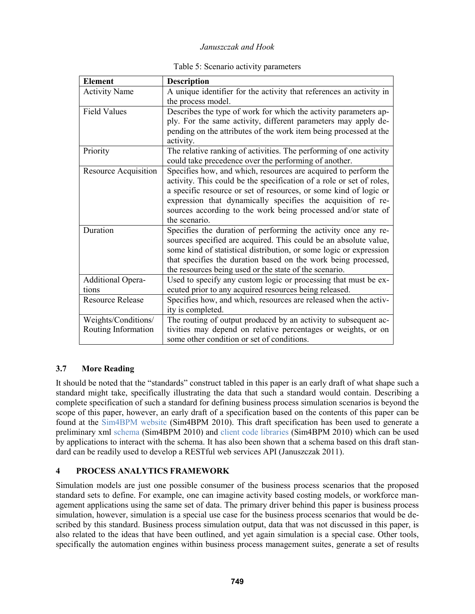| <b>Element</b>              | <b>Description</b>                                                   |
|-----------------------------|----------------------------------------------------------------------|
| <b>Activity Name</b>        | A unique identifier for the activity that references an activity in  |
|                             | the process model.                                                   |
| <b>Field Values</b>         | Describes the type of work for which the activity parameters ap-     |
|                             | ply. For the same activity, different parameters may apply de-       |
|                             | pending on the attributes of the work item being processed at the    |
|                             | activity.                                                            |
| Priority                    | The relative ranking of activities. The performing of one activity   |
|                             | could take precedence over the performing of another.                |
| <b>Resource Acquisition</b> | Specifies how, and which, resources are acquired to perform the      |
|                             | activity. This could be the specification of a role or set of roles, |
|                             | a specific resource or set of resources, or some kind of logic or    |
|                             | expression that dynamically specifies the acquisition of re-         |
|                             | sources according to the work being processed and/or state of        |
|                             | the scenario.                                                        |
| Duration                    | Specifies the duration of performing the activity once any re-       |
|                             | sources specified are acquired. This could be an absolute value,     |
|                             | some kind of statistical distribution, or some logic or expression   |
|                             | that specifies the duration based on the work being processed,       |
|                             | the resources being used or the state of the scenario.               |
| <b>Additional Opera-</b>    | Used to specify any custom logic or processing that must be ex-      |
| tions                       | ecuted prior to any acquired resources being released.               |
| <b>Resource Release</b>     | Specifies how, and which, resources are released when the activ-     |
|                             | ity is completed.                                                    |
| Weights/Conditions/         | The routing of output produced by an activity to subsequent ac-      |
| Routing Information         | tivities may depend on relative percentages or weights, or on        |
|                             | some other condition or set of conditions.                           |

# **3.7 More Reading**

It should be noted that the "standards" construct tabled in this paper is an early draft of what shape such a standard might take, specifically illustrating the data that such a standard would contain. Describing a complete specification of such a standard for defining business process simulation scenarios is beyond the scope of this paper, however, an early draft of a specification based on the contents of this paper can be found at the Sim4BPM website (Sim4BPM 2010). This draft specification has been used to generate a preliminary xml schema (Sim4BPM 2010) and client code libraries (Sim4BPM 2010) which can be used by applications to interact with the schema. It has also been shown that a schema based on this draft standard can be readily used to develop a RESTful web services API (Januszczak 2011).

# **4 PROCESS ANALYTICS FRAMEWORK**

Simulation models are just one possible consumer of the business process scenarios that the proposed standard sets to define. For example, one can imagine activity based costing models, or workforce management applications using the same set of data. The primary driver behind this paper is business process simulation, however, simulation is a special use case for the business process scenarios that would be described by this standard. Business process simulation output, data that was not discussed in this paper, is also related to the ideas that have been outlined, and yet again simulation is a special case. Other tools, specifically the automation engines within business process management suites, generate a set of results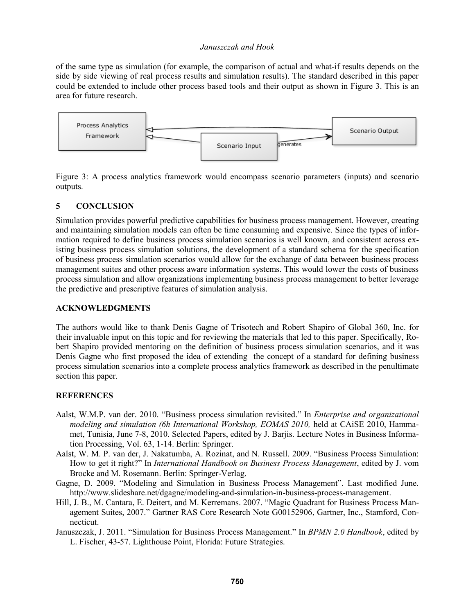of the same type as simulation (for example, the comparison of actual and what-if results depends on the side by side viewing of real process results and simulation results). The standard described in this paper could be extended to include other process based tools and their output as shown in Figure 3. This is an area for future research.



Figure 3: A process analytics framework would encompass scenario parameters (inputs) and scenario outputs.

## **5 CONCLUSION**

Simulation provides powerful predictive capabilities for business process management. However, creating and maintaining simulation models can often be time consuming and expensive. Since the types of information required to define business process simulation scenarios is well known, and consistent across existing business process simulation solutions, the development of a standard schema for the specification of business process simulation scenarios would allow for the exchange of data between business process management suites and other process aware information systems. This would lower the costs of business process simulation and allow organizations implementing business process management to better leverage the predictive and prescriptive features of simulation analysis.

## **ACKNOWLEDGMENTS**

The authors would like to thank Denis Gagne of Trisotech and Robert Shapiro of Global 360, Inc. for their invaluable input on this topic and for reviewing the materials that led to this paper. Specifically, Robert Shapiro provided mentoring on the definition of business process simulation scenarios, and it was Denis Gagne who first proposed the idea of extending the concept of a standard for defining business process simulation scenarios into a complete process analytics framework as described in the penultimate section this paper.

## **REFERENCES**

- Aalst, W.M.P. van der. 2010. "Business process simulation revisited." In *Enterprise and organizational*  modeling and simulation (6h International Workshop, EOMAS 2010, held at CAiSE 2010, Hammamet, Tunisia, June 7-8, 2010. Selected Papers, edited by J. Barjis. Lecture Notes in Business Information Processing, Vol. 63, 1-14. Berlin: Springer.
- Aalst, W. M. P. van der, J. Nakatumba, A. Rozinat, and N. Russell. 2009. "Business Process Simulation: How to get it right?" In *International Handbook on Business Process Management*, edited by J. vom Brocke and M. Rosemann. Berlin: Springer-Verlag.
- Gagne, D. 2009. "Modeling and Simulation in Business Process Management". Last modified June. http://www.slideshare.net/dgagne/modeling-and-simulation-in-business-process-management.
- Hill, J. B., M. Cantara, E. Deitert, and M. Kerremans. 2007. "Magic Quadrant for Business Process Management Suites, 2007." Gartner RAS Core Research Note G00152906, Gartner, Inc., Stamford, Connecticut.
- Januszczak, J. 2011. "Simulation for Business Process Management." In *BPMN 2.0 Handbook*, edited by L. Fischer, 43-57. Lighthouse Point, Florida: Future Strategies.